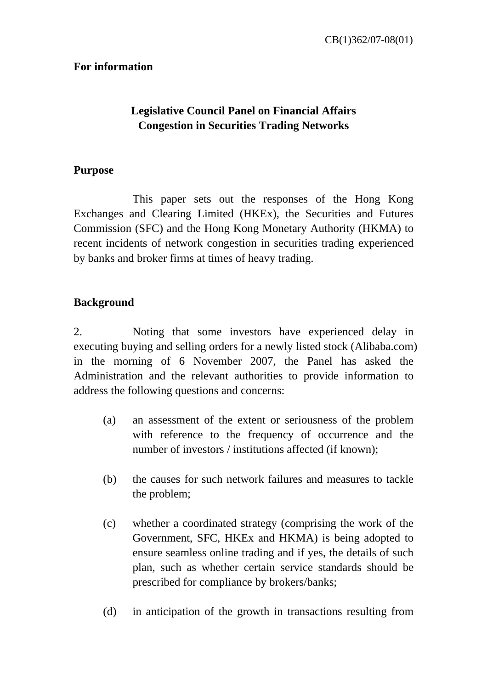# **For information**

# **Legislative Council Panel on Financial Affairs Congestion in Securities Trading Networks**

# **Purpose**

 This paper sets out the responses of the Hong Kong Exchanges and Clearing Limited (HKEx), the Securities and Futures Commission (SFC) and the Hong Kong Monetary Authority (HKMA) to recent incidents of network congestion in securities trading experienced by banks and broker firms at times of heavy trading.

# **Background**

2. Noting that some investors have experienced delay in executing buying and selling orders for a newly listed stock (Alibaba.com) in the morning of 6 November 2007, the Panel has asked the Administration and the relevant authorities to provide information to address the following questions and concerns:

- (a) an assessment of the extent or seriousness of the problem with reference to the frequency of occurrence and the number of investors / institutions affected (if known);
- (b) the causes for such network failures and measures to tackle the problem;
- (c) whether a coordinated strategy (comprising the work of the Government, SFC, HKEx and HKMA) is being adopted to ensure seamless online trading and if yes, the details of such plan, such as whether certain service standards should be prescribed for compliance by brokers/banks;
- (d) in anticipation of the growth in transactions resulting from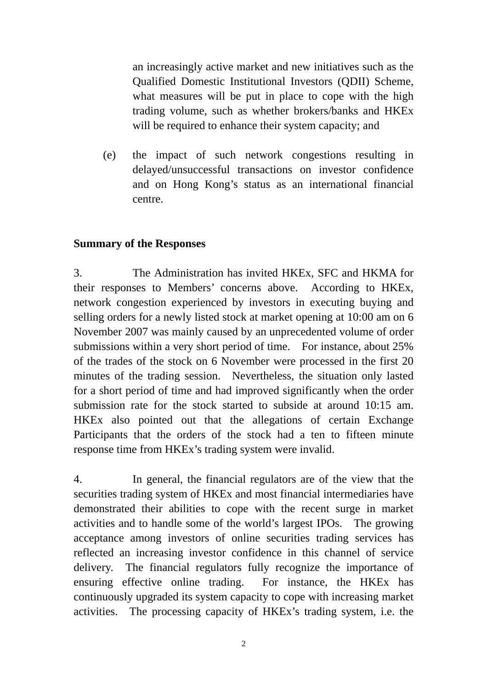an increasingly active market and new initiatives such as the Qualified Domestic Institutional Investors (QDII) Scheme, what measures will be put in place to cope with the high trading volume, such as whether brokers/banks and HKEx will be required to enhance their system capacity; and

(e) the impact of such network congestions resulting in delayed/unsuccessful transactions on investor confidence and on Hong Kong's status as an international financial centre.

# **Summary of the Responses**

3. The Administration has invited HKEx, SFC and HKMA for their responses to Members' concerns above. According to HKEx, network congestion experienced by investors in executing buying and selling orders for a newly listed stock at market opening at 10:00 am on 6 November 2007 was mainly caused by an unprecedented volume of order submissions within a very short period of time. For instance, about 25% of the trades of the stock on 6 November were processed in the first 20 minutes of the trading session. Nevertheless, the situation only lasted for a short period of time and had improved significantly when the order submission rate for the stock started to subside at around 10:15 am. HKEx also pointed out that the allegations of certain Exchange Participants that the orders of the stock had a ten to fifteen minute response time from HKEx's trading system were invalid.

4. In general, the financial regulators are of the view that the securities trading system of HKEx and most financial intermediaries have demonstrated their abilities to cope with the recent surge in market activities and to handle some of the world's largest IPOs. The growing acceptance among investors of online securities trading services has reflected an increasing investor confidence in this channel of service delivery. The financial regulators fully recognize the importance of ensuring effective online trading. For instance, the HKEx has continuously upgraded its system capacity to cope with increasing market activities. The processing capacity of HKEx's trading system, i.e. the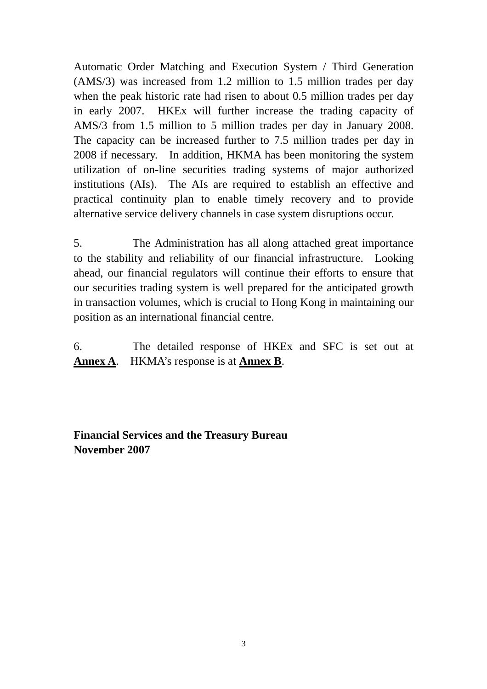Automatic Order Matching and Execution System / Third Generation (AMS/3) was increased from 1.2 million to 1.5 million trades per day when the peak historic rate had risen to about 0.5 million trades per day in early 2007. HKEx will further increase the trading capacity of AMS/3 from 1.5 million to 5 million trades per day in January 2008. The capacity can be increased further to 7.5 million trades per day in 2008 if necessary. In addition, HKMA has been monitoring the system utilization of on-line securities trading systems of major authorized institutions (AIs). The AIs are required to establish an effective and practical continuity plan to enable timely recovery and to provide alternative service delivery channels in case system disruptions occur.

5. The Administration has all along attached great importance to the stability and reliability of our financial infrastructure. Looking ahead, our financial regulators will continue their efforts to ensure that our securities trading system is well prepared for the anticipated growth in transaction volumes, which is crucial to Hong Kong in maintaining our position as an international financial centre.

6. The detailed response of HKEx and SFC is set out at **Annex A**. HKMA's response is at **Annex B**.

**Financial Services and the Treasury Bureau November 2007**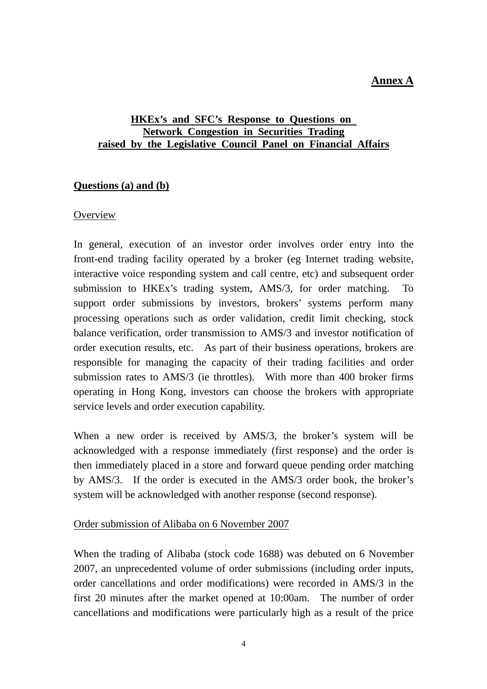# **Annex A**

## **HKEx's and SFC's Response to Questions on Network Congestion in Securities Trading raised by the Legislative Council Panel on Financial Affairs**

## **Questions (a) and (b)**

#### **Overview**

In general, execution of an investor order involves order entry into the front-end trading facility operated by a broker (eg Internet trading website, interactive voice responding system and call centre, etc) and subsequent order submission to HKEx's trading system, AMS/3, for order matching. To support order submissions by investors, brokers' systems perform many processing operations such as order validation, credit limit checking, stock balance verification, order transmission to AMS/3 and investor notification of order execution results, etc. As part of their business operations, brokers are responsible for managing the capacity of their trading facilities and order submission rates to AMS/3 (ie throttles). With more than 400 broker firms operating in Hong Kong, investors can choose the brokers with appropriate service levels and order execution capability.

When a new order is received by AMS/3, the broker's system will be acknowledged with a response immediately (first response) and the order is then immediately placed in a store and forward queue pending order matching by AMS/3. If the order is executed in the AMS/3 order book, the broker's system will be acknowledged with another response (second response).

#### Order submission of Alibaba on 6 November 2007

When the trading of Alibaba (stock code 1688) was debuted on 6 November 2007, an unprecedented volume of order submissions (including order inputs, order cancellations and order modifications) were recorded in AMS/3 in the first 20 minutes after the market opened at 10:00am. The number of order cancellations and modifications were particularly high as a result of the price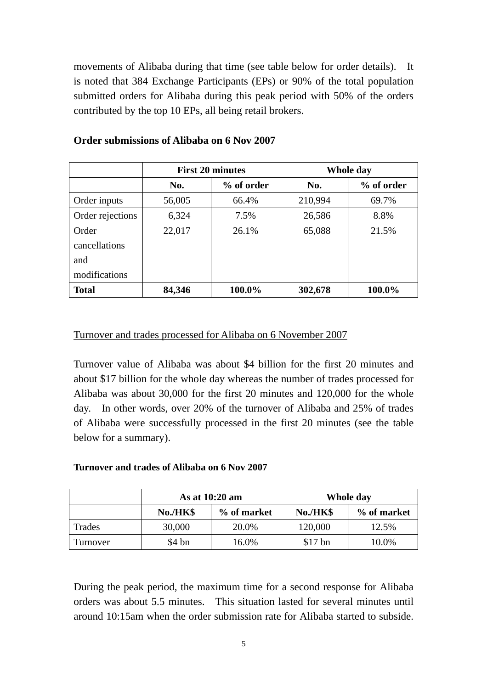movements of Alibaba during that time (see table below for order details). It is noted that 384 Exchange Participants (EPs) or 90% of the total population submitted orders for Alibaba during this peak period with 50% of the orders contributed by the top 10 EPs, all being retail brokers.

|                  | <b>First 20 minutes</b> |            | Whole day |            |
|------------------|-------------------------|------------|-----------|------------|
|                  | No.                     | % of order | No.       | % of order |
| Order inputs     | 56,005                  | 66.4%      | 210,994   | 69.7%      |
| Order rejections | 6,324                   | 7.5%       | 26,586    | 8.8%       |
| Order            | 22,017                  | 26.1%      | 65,088    | 21.5%      |
| cancellations    |                         |            |           |            |
| and              |                         |            |           |            |
| modifications    |                         |            |           |            |
| <b>Total</b>     | 84,346                  | 100.0%     | 302,678   | 100.0%     |

## **Order submissions of Alibaba on 6 Nov 2007**

#### Turnover and trades processed for Alibaba on 6 November 2007

Turnover value of Alibaba was about \$4 billion for the first 20 minutes and about \$17 billion for the whole day whereas the number of trades processed for Alibaba was about 30,000 for the first 20 minutes and 120,000 for the whole day. In other words, over 20% of the turnover of Alibaba and 25% of trades of Alibaba were successfully processed in the first 20 minutes (see the table below for a summary).

#### **Turnover and trades of Alibaba on 6 Nov 2007**

|          | As at 10:20 am |             | Whole day |             |
|----------|----------------|-------------|-----------|-------------|
|          | No./HK\$       | % of market | No./HK\$  | % of market |
| Trades   | 30,000         | 20.0%       | 120,000   | 12.5%       |
| Turnover | \$4 bn         | 16.0%       | $$17$ bn  | 10.0%       |

During the peak period, the maximum time for a second response for Alibaba orders was about 5.5 minutes. This situation lasted for several minutes until around 10:15am when the order submission rate for Alibaba started to subside.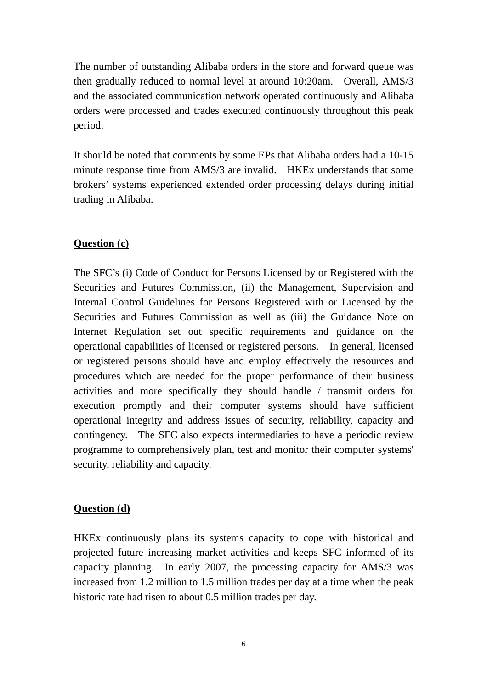The number of outstanding Alibaba orders in the store and forward queue was then gradually reduced to normal level at around 10:20am. Overall, AMS/3 and the associated communication network operated continuously and Alibaba orders were processed and trades executed continuously throughout this peak period.

It should be noted that comments by some EPs that Alibaba orders had a 10-15 minute response time from AMS/3 are invalid. HKEx understands that some brokers' systems experienced extended order processing delays during initial trading in Alibaba.

# **Question (c)**

The SFC's (i) Code of Conduct for Persons Licensed by or Registered with the Securities and Futures Commission, (ii) the Management, Supervision and Internal Control Guidelines for Persons Registered with or Licensed by the Securities and Futures Commission as well as (iii) the Guidance Note on Internet Regulation set out specific requirements and guidance on the operational capabilities of licensed or registered persons. In general, licensed or registered persons should have and employ effectively the resources and procedures which are needed for the proper performance of their business activities and more specifically they should handle / transmit orders for execution promptly and their computer systems should have sufficient operational integrity and address issues of security, reliability, capacity and contingency. The SFC also expects intermediaries to have a periodic review programme to comprehensively plan, test and monitor their computer systems' security, reliability and capacity.

## **Question (d)**

HKEx continuously plans its systems capacity to cope with historical and projected future increasing market activities and keeps SFC informed of its capacity planning. In early 2007, the processing capacity for AMS/3 was increased from 1.2 million to 1.5 million trades per day at a time when the peak historic rate had risen to about 0.5 million trades per day.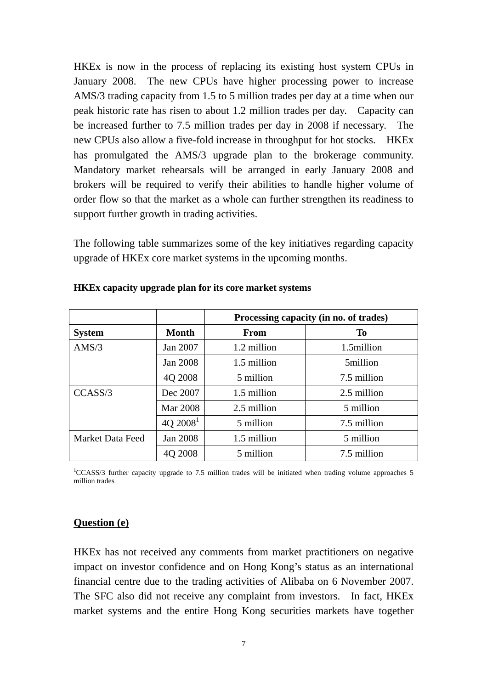HKEx is now in the process of replacing its existing host system CPUs in January 2008. The new CPUs have higher processing power to increase AMS/3 trading capacity from 1.5 to 5 million trades per day at a time when our peak historic rate has risen to about 1.2 million trades per day. Capacity can be increased further to 7.5 million trades per day in 2008 if necessary. The new CPUs also allow a five-fold increase in throughput for hot stocks. HKEx has promulgated the AMS/3 upgrade plan to the brokerage community. Mandatory market rehearsals will be arranged in early January 2008 and brokers will be required to verify their abilities to handle higher volume of order flow so that the market as a whole can further strengthen its readiness to support further growth in trading activities.

The following table summarizes some of the key initiatives regarding capacity upgrade of HKEx core market systems in the upcoming months.

|                  |              | Processing capacity (in no. of trades) |             |  |
|------------------|--------------|----------------------------------------|-------------|--|
| <b>System</b>    | <b>Month</b> | From                                   | <b>To</b>   |  |
| AMS/3            | Jan 2007     | 1.2 million                            | 1.5million  |  |
|                  | Jan 2008     | 1.5 million                            | 5million    |  |
|                  | 4Q 2008      | 5 million                              | 7.5 million |  |
| CCASS/3          | Dec 2007     | 1.5 million                            | 2.5 million |  |
|                  | Mar 2008     | 2.5 million                            | 5 million   |  |
|                  | $4Q\ 2008^1$ | 5 million                              | 7.5 million |  |
| Market Data Feed | Jan 2008     | 1.5 million                            | 5 million   |  |
|                  | 4Q 2008      | 5 million                              | 7.5 million |  |

#### **HKEx capacity upgrade plan for its core market systems**

<sup>1</sup>CCASS/3 further capacity upgrade to 7.5 million trades will be initiated when trading volume approaches 5 million trades

#### **Question (e)**

HKEx has not received any comments from market practitioners on negative impact on investor confidence and on Hong Kong's status as an international financial centre due to the trading activities of Alibaba on 6 November 2007. The SFC also did not receive any complaint from investors. In fact, HKEx market systems and the entire Hong Kong securities markets have together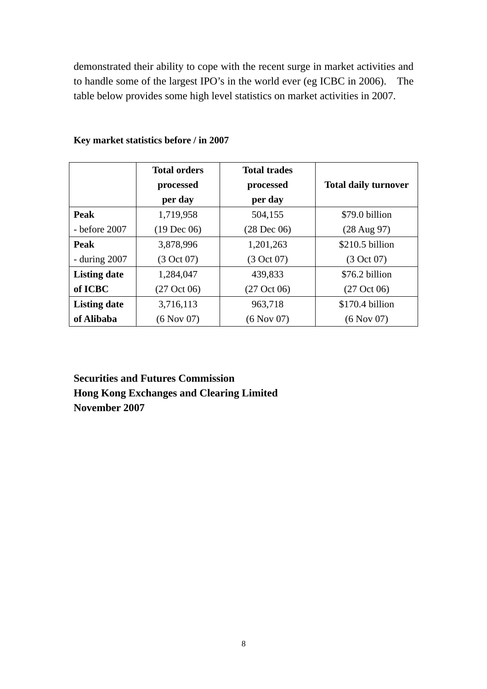demonstrated their ability to cope with the recent surge in market activities and to handle some of the largest IPO's in the world ever (eg ICBC in 2006). The table below provides some high level statistics on market activities in 2007.

|                     | <b>Total orders</b><br>processed<br>per day | <b>Total trades</b><br>processed<br>per day | <b>Total daily turnover</b> |
|---------------------|---------------------------------------------|---------------------------------------------|-----------------------------|
| Peak                | 1,719,958                                   | 504,155                                     | \$79.0 billion              |
| - before 2007       | $(19 \text{ Dec } 06)$                      | $(28 \text{ Dec } 06)$                      | $(28 \text{ Aug } 97)$      |
| Peak                | 3,878,996                                   | 1,201,263                                   | \$210.5 billion             |
| - during $2007$     | (3 Oct 07)                                  | (3 Oct 07)                                  | (3 Oct 07)                  |
| <b>Listing date</b> | 1,284,047                                   | 439,833                                     | \$76.2 billion              |
| of ICBC             | $(27 \text{ Oct } 06)$                      | $(27 \text{ Oct } 06)$                      | $(27 \text{ Oct } 06)$      |
| <b>Listing date</b> | 3,716,113                                   | 963,718                                     | \$170.4 billion             |
| of Alibaba          | (6 Nov 07)                                  | $(6$ Nov 07)                                | (6 Nov 07)                  |

# **Key market statistics before / in 2007**

**Securities and Futures Commission Hong Kong Exchanges and Clearing Limited November 2007**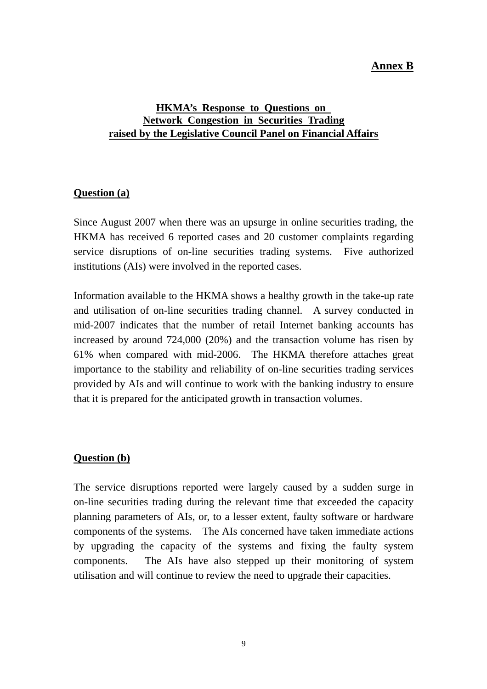# **Annex B**

# **HKMA's Response to Questions on Network Congestion in Securities Trading raised by the Legislative Council Panel on Financial Affairs**

## **Question (a)**

Since August 2007 when there was an upsurge in online securities trading, the HKMA has received 6 reported cases and 20 customer complaints regarding service disruptions of on-line securities trading systems. Five authorized institutions (AIs) were involved in the reported cases.

Information available to the HKMA shows a healthy growth in the take-up rate and utilisation of on-line securities trading channel. A survey conducted in mid-2007 indicates that the number of retail Internet banking accounts has increased by around 724,000 (20%) and the transaction volume has risen by 61% when compared with mid-2006. The HKMA therefore attaches great importance to the stability and reliability of on-line securities trading services provided by AIs and will continue to work with the banking industry to ensure that it is prepared for the anticipated growth in transaction volumes.

## **Question (b)**

The service disruptions reported were largely caused by a sudden surge in on-line securities trading during the relevant time that exceeded the capacity planning parameters of AIs, or, to a lesser extent, faulty software or hardware components of the systems. The AIs concerned have taken immediate actions by upgrading the capacity of the systems and fixing the faulty system components. The AIs have also stepped up their monitoring of system utilisation and will continue to review the need to upgrade their capacities.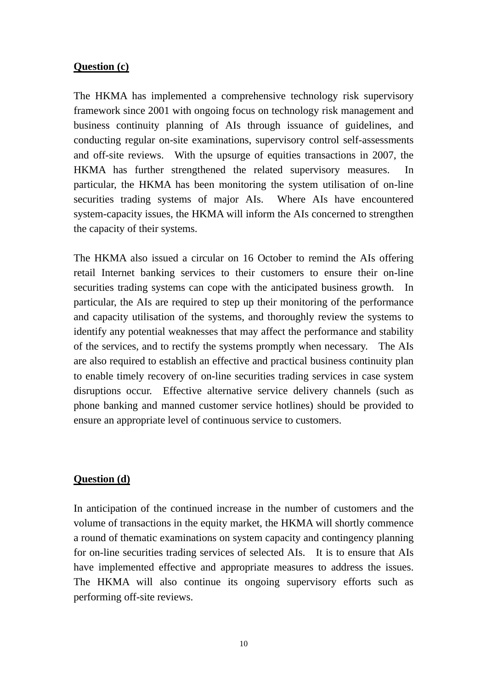## **Question (c)**

The HKMA has implemented a comprehensive technology risk supervisory framework since 2001 with ongoing focus on technology risk management and business continuity planning of AIs through issuance of guidelines, and conducting regular on-site examinations, supervisory control self-assessments and off-site reviews. With the upsurge of equities transactions in 2007, the HKMA has further strengthened the related supervisory measures. In particular, the HKMA has been monitoring the system utilisation of on-line securities trading systems of major AIs. Where AIs have encountered system-capacity issues, the HKMA will inform the AIs concerned to strengthen the capacity of their systems.

The HKMA also issued a circular on 16 October to remind the AIs offering retail Internet banking services to their customers to ensure their on-line securities trading systems can cope with the anticipated business growth. In particular, the AIs are required to step up their monitoring of the performance and capacity utilisation of the systems, and thoroughly review the systems to identify any potential weaknesses that may affect the performance and stability of the services, and to rectify the systems promptly when necessary. The AIs are also required to establish an effective and practical business continuity plan to enable timely recovery of on-line securities trading services in case system disruptions occur. Effective alternative service delivery channels (such as phone banking and manned customer service hotlines) should be provided to ensure an appropriate level of continuous service to customers.

#### **Question (d)**

In anticipation of the continued increase in the number of customers and the volume of transactions in the equity market, the HKMA will shortly commence a round of thematic examinations on system capacity and contingency planning for on-line securities trading services of selected AIs. It is to ensure that AIs have implemented effective and appropriate measures to address the issues. The HKMA will also continue its ongoing supervisory efforts such as performing off-site reviews.